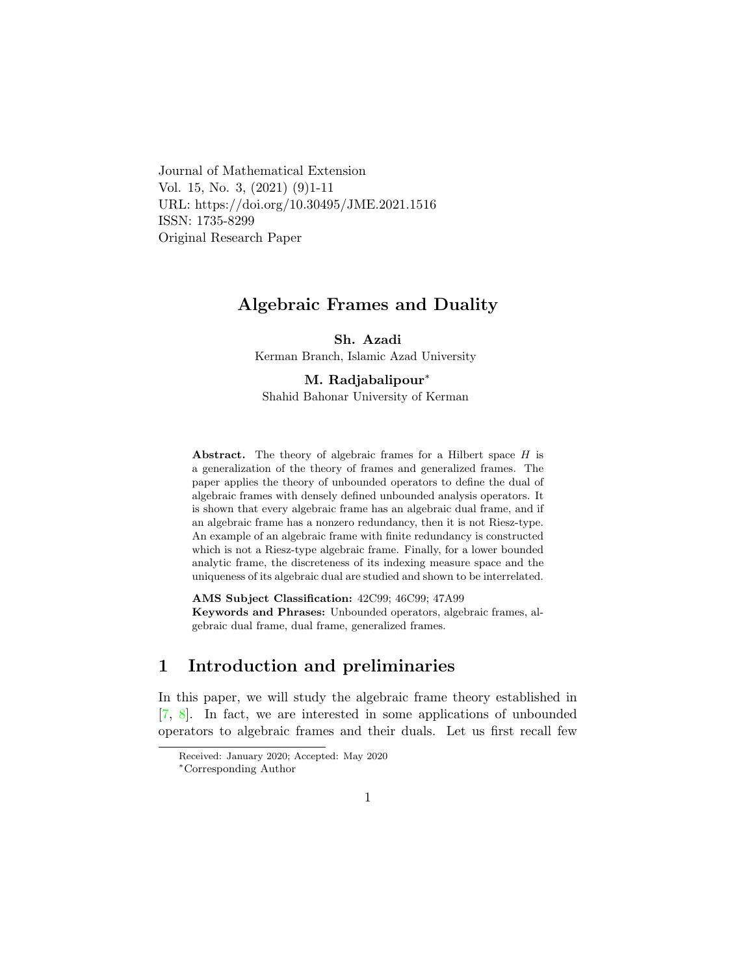Journal of Mathematical Extension Vol. 15, No. 3, (2021) (9)1-11 URL: https://doi.org/10.30495/JME.2021.1516 ISSN: 1735-8299 Original Research Paper

## Algebraic Frames and Duality

Sh. Azadi

Kerman Branch, Islamic Azad University

M. Radjabalipour[∗](#page-0-0)

Shahid Bahonar University of Kerman

Abstract. The theory of algebraic frames for a Hilbert space  $H$  is a generalization of the theory of frames and generalized frames. The paper applies the theory of unbounded operators to define the dual of algebraic frames with densely defined unbounded analysis operators. It is shown that every algebraic frame has an algebraic dual frame, and if an algebraic frame has a nonzero redundancy, then it is not Riesz-type. An example of an algebraic frame with finite redundancy is constructed which is not a Riesz-type algebraic frame. Finally, for a lower bounded analytic frame, the discreteness of its indexing measure space and the uniqueness of its algebraic dual are studied and shown to be interrelated.

AMS Subject Classification: 42C99; 46C99; 47A99 Keywords and Phrases: Unbounded operators, algebraic frames, algebraic dual frame, dual frame, generalized frames.

# 1 Introduction and preliminaries

In this paper, we will study the algebraic frame theory established in [\[7,](#page-9-0) [8\]](#page-9-1). In fact, we are interested in some applications of unbounded operators to algebraic frames and their duals. Let us first recall few

Received: January 2020; Accepted: May 2020

<span id="page-0-0"></span><sup>∗</sup>Corresponding Author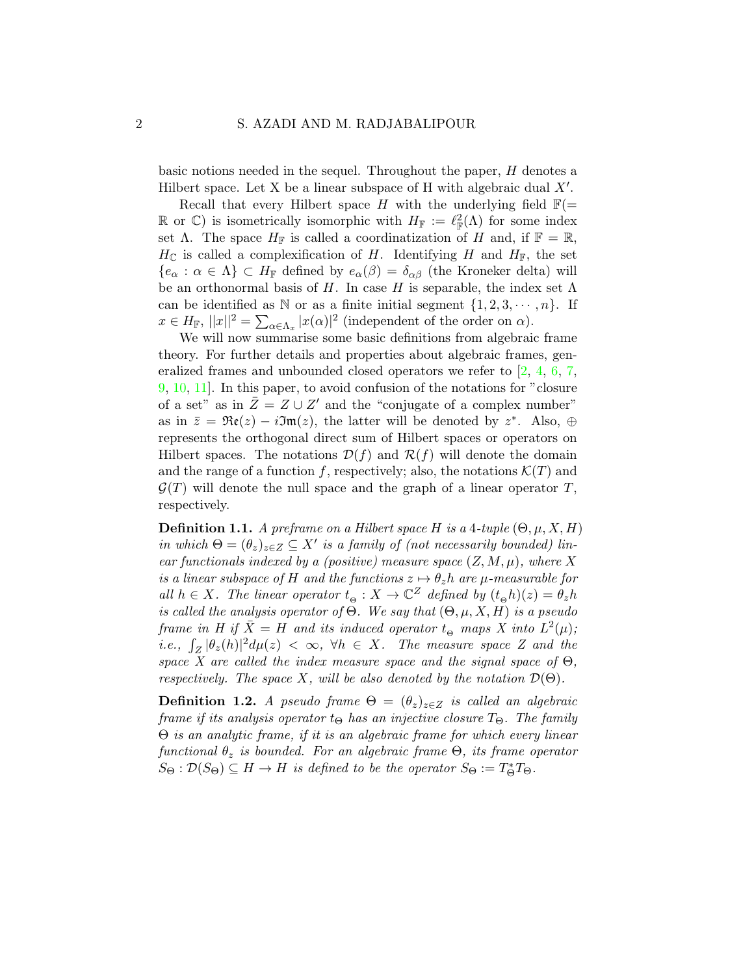basic notions needed in the sequel. Throughout the paper, H denotes a Hilbert space. Let  $X$  be a linear subspace of  $H$  with algebraic dual  $X'$ .

Recall that every Hilbert space H with the underlying field  $\mathbb{F}(=$ R or C) is isometrically isomorphic with  $H_{\mathbb{F}} := \ell_{\mathbb{F}}^2(\Lambda)$  for some index set  $\Lambda$ . The space  $H_{\mathbb{F}}$  is called a coordinatization of H and, if  $\mathbb{F} = \mathbb{R}$ ,  $H_{\mathbb{C}}$  is called a complexification of H. Identifying H and  $H_{\mathbb{F}}$ , the set  ${e_{\alpha} : \alpha \in \Lambda} \subset H_{\mathbb{F}}$  defined by  $e_{\alpha}(\beta) = \delta_{\alpha\beta}$  (the Kroneker delta) will be an orthonormal basis of H. In case H is separable, the index set  $\Lambda$ can be identified as N or as a finite initial segment  $\{1, 2, 3, \cdots, n\}$ . If  $x \in H_{\mathbb{F}}$ ,  $||x||^2 = \sum_{\alpha \in \Lambda_x} |x(\alpha)|^2$  (independent of the order on  $\alpha$ ).

We will now summarise some basic definitions from algebraic frame theory. For further details and properties about algebraic frames, generalized frames and unbounded closed operators we refer to [\[2,](#page-9-2) [4,](#page-9-3) [6,](#page-9-4) [7,](#page-9-0) [9,](#page-10-0) [10,](#page-10-1) [11\]](#page-10-2). In this paper, to avoid confusion of the notations for "closure of a set" as in  $\overline{Z} = Z \cup Z'$  and the "conjugate of a complex number" as in  $\bar{z} = \Re(z) - i\Im(z)$ , the latter will be denoted by  $z^*$ . Also,  $\oplus$ represents the orthogonal direct sum of Hilbert spaces or operators on Hilbert spaces. The notations  $\mathcal{D}(f)$  and  $\mathcal{R}(f)$  will denote the domain and the range of a function f, respectively; also, the notations  $\mathcal{K}(T)$  and  $\mathcal{G}(T)$  will denote the null space and the graph of a linear operator T, respectively.

**Definition 1.1.** A preframe on a Hilbert space H is a 4-tuple  $(\Theta, \mu, X, H)$ in which  $\Theta = (\theta_z)_{z \in Z} \subseteq X'$  is a family of (not necessarily bounded) linear functionals indexed by a (positive) measure space  $(Z, M, \mu)$ , where X is a linear subspace of H and the functions  $z \mapsto \theta_z h$  are  $\mu$ -measurable for all  $h \in X$ . The linear operator  $t_{\Theta}: X \to \mathbb{C}^Z$  defined by  $(t_{\Theta} h)(z) = \theta_z h$ is called the analysis operator of  $\Theta$ . We say that  $(\Theta, \mu, X, H)$  is a pseudo frame in H if  $\overline{X} = H$  and its induced operator  $t_{\Theta}$  maps X into  $L^2(\mu)$ ; *i.e.*,  $\int_Z |\theta_z(h)|^2 d\mu(z) < \infty$ ,  $\forall h \in X$ . The measure space Z and the space X are called the index measure space and the signal space of  $\Theta$ , respectively. The space X, will be also denoted by the notation  $\mathcal{D}(\Theta)$ .

**Definition 1.2.** A pseudo frame  $\Theta = (\theta_z)_{z \in Z}$  is called an algebraic frame if its analysis operator  $t_{\Theta}$  has an injective closure  $T_{\Theta}$ . The family Θ is an analytic frame, if it is an algebraic frame for which every linear functional  $\theta_z$  is bounded. For an algebraic frame  $\Theta$ , its frame operator  $S_{\Theta}: \mathcal{D}(S_{\Theta}) \subseteq H \to H$  is defined to be the operator  $S_{\Theta} := T_{\Theta}^* T_{\Theta}$ .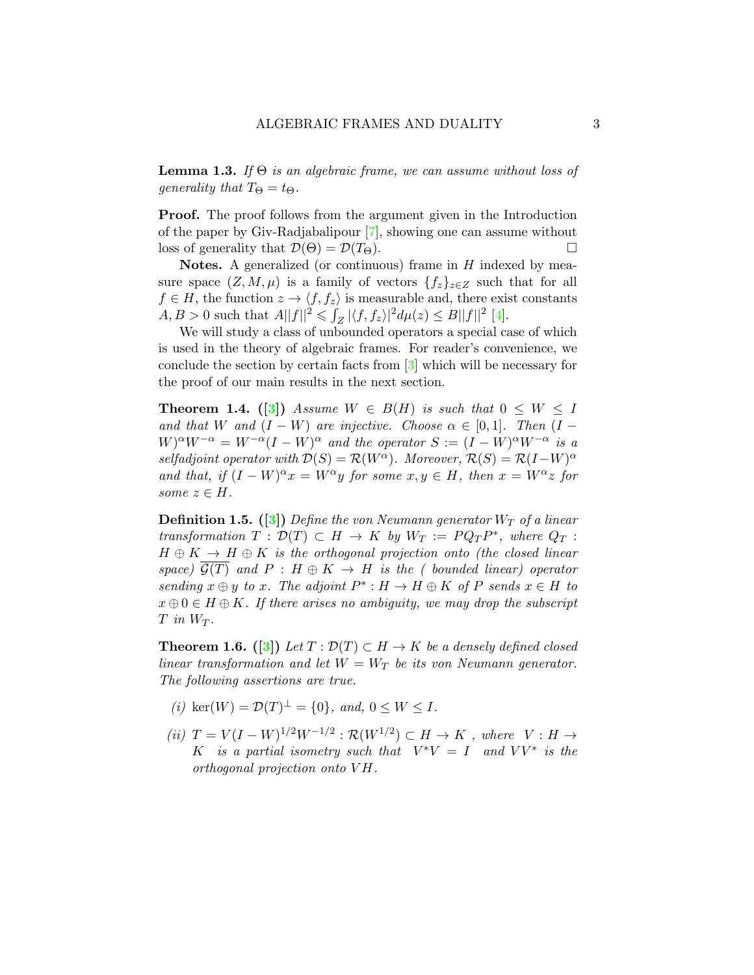**Lemma 1.3.** If  $\Theta$  is an algebraic frame, we can assume without loss of generality that  $T_{\Theta} = t_{\Theta}$ .

**Proof.** The proof follows from the argument given in the Introduction of the paper by Giv-Radjabalipour [\[7\]](#page-9-0), showing one can assume without loss of generality that  $\mathcal{D}(\Theta) = \mathcal{D}(T_{\Theta}).$ 

**Notes.** A generalized (or continuous) frame in  $H$  indexed by measure space  $(Z, M, \mu)$  is a family of vectors  $\{f_z\}_{z\in Z}$  such that for all  $f \in H$ , the function  $z \to \langle f, f_z \rangle$  is measurable and, there exist constants  $A, B > 0$  such that  $A||f||^2 \leq \int_Z |\langle f, f_z \rangle|^2 d\mu(z) \leq B||f||^2$  [\[4\]](#page-9-3).

We will study a class of unbounded operators a special case of which is used in the theory of algebraic frames. For reader's convenience, we conclude the section by certain facts from [\[3\]](#page-9-5) which will be necessary for the proof of our main results in the next section.

<span id="page-2-1"></span>**Theorem 1.4.** ([\[3\]](#page-9-5)) Assume  $W \in B(H)$  is such that  $0 \leq W \leq I$ and that W and  $(I - W)$  are injective. Choose  $\alpha \in [0, 1]$ . Then  $(I W)^\alpha W^{-\alpha} = W^{-\alpha}(I - W)^\alpha$  and the operator  $S := (I - W)^\alpha W^{-\alpha}$  is a selfadjoint operator with  $\mathcal{D}(S) = \mathcal{R}(W^{\alpha})$ . Moreover,  $\mathcal{R}(S) = \mathcal{R}(I-W)^{\alpha}$ and that, if  $(I - W)^{\alpha} x = W^{\alpha} y$  for some  $x, y \in H$ , then  $x = W^{\alpha} z$  for some  $z \in H$ .

**Definition 1.5.** ([\[3\]](#page-9-5)) Define the von Neumann generator  $W_T$  of a linear transformation  $T : \mathcal{D}(T) \subset H \to K$  by  $W_T := PQ_T P^*$ , where  $Q_T$ :  $H \oplus K \to H \oplus K$  is the orthogonal projection onto (the closed linear space)  $\mathcal{G}(T)$  and  $P : H \oplus K \to H$  is the (bounded linear) operator sending  $x \oplus y$  to x. The adjoint  $P^* : H \to H \oplus K$  of P sends  $x \in H$  to  $x \oplus 0 \in H \oplus K$ . If there arises no ambiguity, we may drop the subscript  $T$  in  $W_T$ .

<span id="page-2-0"></span>**Theorem 1.6.** ([\[3\]](#page-9-5)) Let  $T : \mathcal{D}(T) \subset H \to K$  be a densely defined closed linear transformation and let  $W = W_T$  be its von Neumann generator. The following assertions are true.

- (i) ker(W) =  $\mathcal{D}(T)^{\perp} = \{0\}$ , and,  $0 \leq W \leq I$ .
- (ii)  $T = V(I W)^{1/2}W^{-1/2}$ :  $\mathcal{R}(W^{1/2}) \subset H \to K$ , where  $V : H \to$ K is a partial isometry such that  $V^*V = I$  and  $VV^*$  is the  $orthogonal$  projection onto  $VH$ .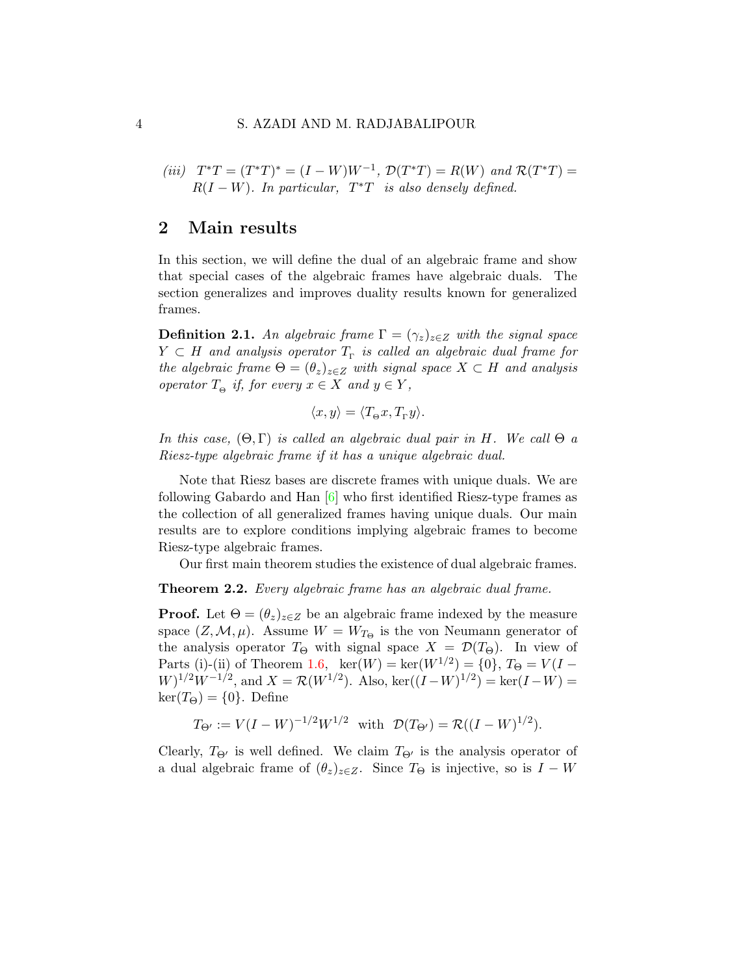#### 4 S. AZADI AND M. RADJABALIPOUR

(iii)  $T^*T = (T^*T)^* = (I - W)W^{-1}$ ,  $\mathcal{D}(T^*T) = R(W)$  and  $\mathcal{R}(T^*T) =$  $R(I - W)$ . In particular,  $T^*T$  is also densely defined.

### 2 Main results

In this section, we will define the dual of an algebraic frame and show that special cases of the algebraic frames have algebraic duals. The section generalizes and improves duality results known for generalized frames.

**Definition 2.1.** An algebraic frame  $\Gamma = (\gamma_z)_{z \in Z}$  with the signal space  $Y \subset H$  and analysis operator  $T_{\Gamma}$  is called an algebraic dual frame for the algebraic frame  $\Theta = (\theta_z)_{z \in Z}$  with signal space  $X \subset H$  and analysis operator  $T_{\Theta}$  if, for every  $x \in X$  and  $y \in Y$ ,

$$
\langle x, y \rangle = \langle T_{\Theta} x, T_{\Gamma} y \rangle.
$$

In this case,  $(\Theta, \Gamma)$  is called an algebraic dual pair in H. We call  $\Theta$  a Riesz-type algebraic frame if it has a unique algebraic dual.

Note that Riesz bases are discrete frames with unique duals. We are following Gabardo and Han [\[6\]](#page-9-4) who first identified Riesz-type frames as the collection of all generalized frames having unique duals. Our main results are to explore conditions implying algebraic frames to become Riesz-type algebraic frames.

Our first main theorem studies the existence of dual algebraic frames.

#### **Theorem 2.2.** Every algebraic frame has an algebraic dual frame.

**Proof.** Let  $\Theta = (\theta_z)_{z \in \mathbb{Z}}$  be an algebraic frame indexed by the measure space  $(Z, \mathcal{M}, \mu)$ . Assume  $W = W_{T_{\Theta}}$  is the von Neumann generator of the analysis operator  $T_{\Theta}$  with signal space  $X = \mathcal{D}(T_{\Theta})$ . In view of Parts (i)-(ii) of Theorem [1.6,](#page-2-0)  $\text{ker}(W) = \text{ker}(W^{1/2}) = \{0\}, T_{\Theta} = V(I W)^{1/2}W^{-1/2}$ , and  $X = \mathcal{R}(W^{1/2})$ . Also, ker $((I - W)^{1/2}) = \text{ker}(I - W) =$  $\ker(T_{\Theta}) = \{0\}.$  Define

$$
T_{\Theta'} := V(I - W)^{-1/2} W^{1/2}
$$
 with  $\mathcal{D}(T_{\Theta'}) = \mathcal{R}((I - W)^{1/2}).$ 

Clearly,  $T_{\Theta}$  is well defined. We claim  $T_{\Theta}$  is the analysis operator of a dual algebraic frame of  $(\theta_z)_{z\in\mathbb{Z}}$ . Since  $T_{\Theta}$  is injective, so is  $I - W$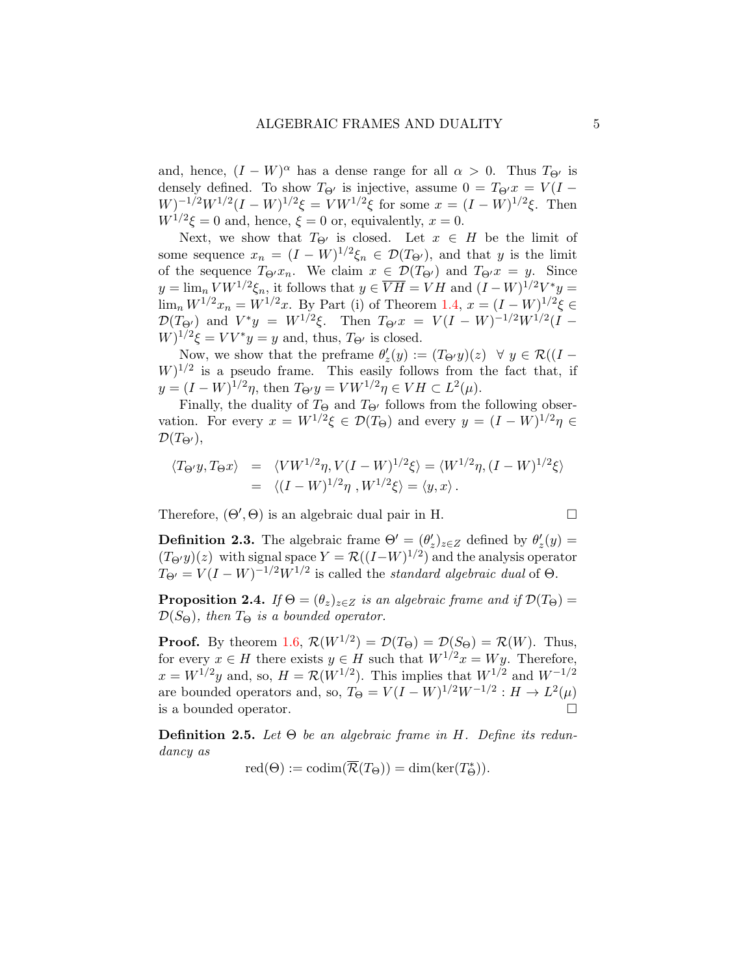and, hence,  $(I - W)^{\alpha}$  has a dense range for all  $\alpha > 0$ . Thus  $T_{\Theta'}$  is densely defined. To show  $T_{\Theta}$  is injective, assume  $0 = T_{\Theta}x = V(I W)^{-1/2}W^{1/2}(I - W)^{1/2}\xi = VW^{1/2}\xi$  for some  $x = (I - W)^{1/2}\xi$ . Then  $W^{1/2}\xi = 0$  and, hence,  $\xi = 0$  or, equivalently,  $x = 0$ .

Next, we show that  $T_{\Theta}$  is closed. Let  $x \in H$  be the limit of some sequence  $x_n = (I - W)^{1/2} \xi_n \in \mathcal{D}(T_{\Theta})$ , and that y is the limit of the sequence  $T_{\Theta}x_n$ . We claim  $x \in \mathcal{D}(T_{\Theta})$  and  $T_{\Theta}x = y$ . Since  $y = \lim_{n} VW^{1/2} \xi_n$ , it follows that  $y \in \overline{V}\overline{H} = VH$  and  $(I - W)^{1/2}V^*y =$  $\lim_{n} W^{1/2} x_n = W^{1/2} x$ . By Part (i) of Theorem [1.4,](#page-2-1)  $x = (I - W)^{1/2} \xi \in$  $\mathcal{D}(T_{\Theta'})$  and  $V^*y = W^{1/2}\xi$ . Then  $T_{\Theta'}x = V(I-W)^{-1/2}W^{1/2}(I-W)$  $W)^{1/2}\xi = VV^*y = y$  and, thus,  $T_{\Theta'}$  is closed.

Now, we show that the preframe  $\theta'_z(y) := (T_{\Theta'}y)(z) \quad \forall \ y \in \mathcal{R}((I W^{1/2}$  is a pseudo frame. This easily follows from the fact that, if  $y = (I - W)^{1/2}\eta$ , then  $T_{\Theta'}y = VW^{1/2}\eta \in VH \subset L^2(\mu)$ .

Finally, the duality of  $T_{\Theta}$  and  $T_{\Theta'}$  follows from the following observation. For every  $x = W^{1/2}\xi \in \mathcal{D}(T_{\Theta})$  and every  $y = (I - W)^{1/2}\eta \in$  $\mathcal{D}(T_{\Theta}),$ 

$$
\langle T_{\Theta'} y, T_{\Theta} x \rangle = \langle VW^{1/2} \eta, V(I - W)^{1/2} \xi \rangle = \langle W^{1/2} \eta, (I - W)^{1/2} \xi \rangle
$$
  
= 
$$
\langle (I - W)^{1/2} \eta, W^{1/2} \xi \rangle = \langle y, x \rangle.
$$

Therefore,  $(\Theta', \Theta)$  is an algebraic dual pair in H.

**Definition 2.3.** The algebraic frame  $\Theta' = (\theta_z')_{z \in Z}$  defined by  $\theta_z'(y) =$  $(T_{\Theta'}y)(z)$  with signal space  $Y = \mathcal{R}((I-W)^{1/2})$  and the analysis operator  $T_{\Theta'} = V(I - W)^{-1/2}W^{1/2}$  is called the *standard algebraic dual* of  $\Theta$ .

**Proposition 2.4.** If  $\Theta = (\theta_z)_{z \in Z}$  is an algebraic frame and if  $\mathcal{D}(T_{\Theta}) =$  $\mathcal{D}(S_{\Theta})$ , then  $T_{\Theta}$  is a bounded operator.

**Proof.** By theorem [1.6,](#page-2-0)  $\mathcal{R}(W^{1/2}) = \mathcal{D}(T_{\Theta}) = \mathcal{D}(S_{\Theta}) = \mathcal{R}(W)$ . Thus, for every  $x \in H$  there exists  $y \in H$  such that  $W^{1/2}x = Wy$ . Therefore,  $x = W^{1/2}y$  and, so,  $H = \mathcal{R}(W^{1/2})$ . This implies that  $W^{1/2}$  and  $W^{-1/2}$ are bounded operators and, so,  $T_{\Theta} = V(I - W)^{1/2}W^{-1/2}$  :  $H \to L^2(\mu)$ is a bounded operator.

**Definition 2.5.** Let  $\Theta$  be an algebraic frame in H. Define its redundancy as

$$
\mathrm{red}(\Theta):=\mathrm{codim}(\overline{\mathcal{R}}(T_{\Theta}))=\dim(\ker(T_{\Theta}^*)).
$$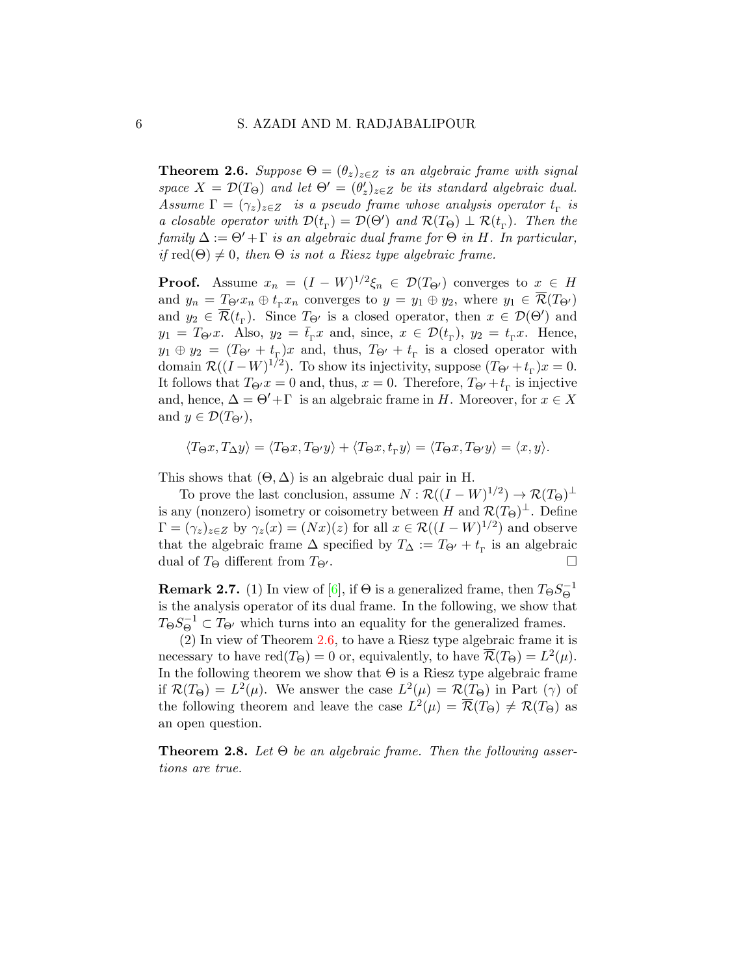<span id="page-5-0"></span>**Theorem 2.6.** Suppose  $\Theta = (\theta_z)_{z \in Z}$  is an algebraic frame with signal space  $X = \mathcal{D}(T_{\Theta})$  and let  $\Theta' = (\theta'_z)_{z \in Z}$  be its standard algebraic dual. Assume  $\Gamma = (\gamma_z)_{z \in Z}$  is a pseudo frame whose analysis operator  $t_{\Gamma}$  is a closable operator with  $\mathcal{D}(t_{\rm r}) = \mathcal{D}(\Theta')$  and  $\mathcal{R}(T_{\Theta}) \perp \mathcal{R}(t_{\rm r})$ . Then the family  $\Delta := \Theta' + \Gamma$  is an algebraic dual frame for  $\Theta$  in H. In particular, if red( $\Theta$ )  $\neq$  0, then  $\Theta$  is not a Riesz type algebraic frame.

**Proof.** Assume  $x_n = (I - W)^{1/2} \xi_n \in \mathcal{D}(T_{\Theta'})$  converges to  $x \in H$ and  $y_n = T_{\Theta} x_n \oplus t_{\Gamma} x_n$  converges to  $y = y_1 \oplus y_2$ , where  $y_1 \in \overline{\mathcal{R}}(T_{\Theta})$ and  $y_2 \in \overline{\mathcal{R}}(t_{\Gamma})$ . Since  $T_{\Theta'}$  is a closed operator, then  $x \in \mathcal{D}(\Theta')$  and  $y_1 = T_{\Theta} x$ . Also,  $y_2 = \bar{t}_{\Gamma} x$  and, since,  $x \in \mathcal{D}(t_{\Gamma}), y_2 = t_{\Gamma} x$ . Hence,  $y_1 \oplus y_2 = (T_{\Theta'} + t_{\Gamma})x$  and, thus,  $T_{\Theta'} + t_{\Gamma}$  is a closed operator with domain  $\mathcal{R}((I - W)^{1/2})$ . To show its injectivity, suppose  $(T_{\Theta'} + t_{\Gamma})x = 0$ . It follows that  $T_{\Theta}x = 0$  and, thus,  $x = 0$ . Therefore,  $T_{\Theta'} + t_{\Gamma}$  is injective and, hence,  $\Delta = \Theta' + \Gamma$  is an algebraic frame in H. Moreover, for  $x \in X$ and  $y \in \mathcal{D}(T_{\Theta}),$ 

$$
\langle T_{\Theta}x, T_{\Delta}y \rangle = \langle T_{\Theta}x, T_{\Theta'}y \rangle + \langle T_{\Theta}x, t_{\Gamma}y \rangle = \langle T_{\Theta}x, T_{\Theta'}y \rangle = \langle x, y \rangle.
$$

This shows that  $(\Theta, \Delta)$  is an algebraic dual pair in H.

To prove the last conclusion, assume  $N : \mathcal{R}((I - W)^{1/2}) \to \mathcal{R}(T_{\Theta})^{\perp}$ is any (nonzero) isometry or coisometry between H and  $\mathcal{R}(T_{\Theta})^{\perp}$ . Define  $\Gamma = (\gamma_z)_{z \in Z}$  by  $\gamma_z(x) = (Nx)(z)$  for all  $x \in \mathcal{R}((I - W)^{1/2})$  and observe that the algebraic frame  $\Delta$  specified by  $T_{\Delta} := T_{\Theta'} + t_{\Gamma}$  is an algebraic dual of  $T_{\Theta}$  different from  $T_{\Theta'}$ .

**Remark 2.7.** (1) In view of [\[6\]](#page-9-4), if  $\Theta$  is a generalized frame, then  $T_{\Theta}S_{\Theta}^{-1}$ Θ is the analysis operator of its dual frame. In the following, we show that  $T_{\Theta}S_{\Theta}^{-1} \subset T_{\Theta'}$  which turns into an equality for the generalized frames.

(2) In view of Theorem [2.6,](#page-5-0) to have a Riesz type algebraic frame it is necessary to have  $\text{red}(T_{\Theta}) = 0$  or, equivalently, to have  $\overline{\mathcal{R}}(T_{\Theta}) = L^2(\mu)$ . In the following theorem we show that  $\Theta$  is a Riesz type algebraic frame if  $\mathcal{R}(T_{\Theta}) = L^2(\mu)$ . We answer the case  $L^2(\mu) = \mathcal{R}(T_{\Theta})$  in Part  $(\gamma)$  of the following theorem and leave the case  $L^2(\mu) = \overline{\mathcal{R}}(T_{\Theta}) \neq \mathcal{R}(T_{\Theta})$  as an open question.

<span id="page-5-1"></span>**Theorem 2.8.** Let  $\Theta$  be an algebraic frame. Then the following assertions are true.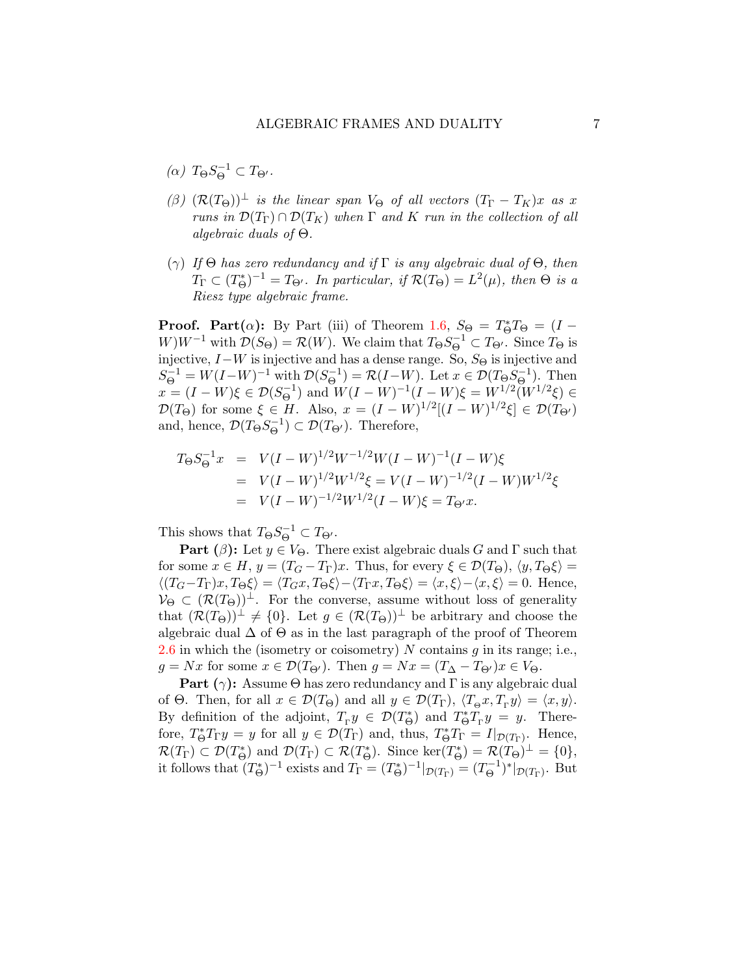- (α)  $T_{\Theta}S_{\Theta}^{-1} \subset T_{\Theta'}$ .
- $(\beta)$   $(\mathcal{R}(T_{\Theta}))^{\perp}$  is the linear span  $V_{\Theta}$  of all vectors  $(T_{\Gamma} T_K)x$  as x runs in  $\mathcal{D}(T_{\Gamma}) \cap \mathcal{D}(T_K)$  when  $\Gamma$  and  $K$  run in the collection of all algebraic duals of Θ.
- (γ) If  $\Theta$  has zero redundancy and if  $\Gamma$  is any algebraic dual of  $\Theta$ , then  $T_{\Gamma} \subset (T_{\Theta}^*)^{-1} = T_{\Theta'}$ . In particular, if  $\mathcal{R}(T_{\Theta}) = L^2(\mu)$ , then  $\Theta$  is a Riesz type algebraic frame.

**Proof.** Part( $\alpha$ ): By Part (iii) of Theorem [1.6,](#page-2-0)  $S_{\Theta} = T_{\Theta}^* T_{\Theta} = (I W)W^{-1}$  with  $\mathcal{D}(S_{\Theta}) = \mathcal{R}(W)$ . We claim that  $T_{\Theta}S_{\Theta}^{-1} \subset T_{\Theta}$ . Since  $T_{\Theta}$  is injective,  $I-W$  is injective and has a dense range. So,  $S_{\Theta}$  is injective and  $S_{\Theta}^{-1} = W(I-W)^{-1}$  with  $\mathcal{D}(S_{\Theta}^{-1})$  $(\Theta^{-1}) = \mathcal{R}(I-W)$ . Let  $x \in \mathcal{D}(T_{\Theta}S_{\Theta}^{-1})$  $\left(\begin{matrix} -1 \\ 0 \end{matrix}\right)$ . Then  $x = (I - W)\xi \in \mathcal{D}(S_{\Theta}^{-1})$  $\mathcal{O}^{-1}$ ) and  $W(I - W)^{-1}(I - W)\xi = W^{1/2}(W^{1/2}\xi) \in$  $\mathcal{D}(T_{\Theta})$  for some  $\xi \in H$ . Also,  $x = (I - W)^{1/2}[(I - W)^{1/2}\xi] \in \mathcal{D}(T_{\Theta})$ and, hence,  $\mathcal{D}(T_{\Theta}S_{\Theta}^{-1})$  $(\overline{\Theta}^1) \subset \mathcal{D}(T_{\Theta'})$ . Therefore,

$$
T_{\Theta}S_{\Theta}^{-1}x = V(I-W)^{1/2}W^{-1/2}W(I-W)^{-1}(I-W)\xi
$$
  
= 
$$
V(I-W)^{1/2}W^{1/2}\xi = V(I-W)^{-1/2}(I-W)W^{1/2}\xi
$$
  
= 
$$
V(I-W)^{-1/2}W^{1/2}(I-W)\xi = T_{\Theta'}x.
$$

This shows that  $T_{\Theta}S_{\Theta}^{-1} \subset T_{\Theta'}$ .

**Part** ( $\beta$ ): Let  $y \in V_{\Theta}$ . There exist algebraic duals G and  $\Gamma$  such that for some  $x \in H$ ,  $y = (T_G - T_{\Gamma})x$ . Thus, for every  $\xi \in \mathcal{D}(T_{\Theta})$ ,  $\langle y, T_{\Theta} \xi \rangle =$  $\langle (T_G-T_{\Gamma})x, T_{\Theta}\xi \rangle = \langle T_Gx, T_{\Theta}\xi \rangle - \langle T_{\Gamma}x, T_{\Theta}\xi \rangle = \langle x, \xi \rangle - \langle x, \xi \rangle = 0.$  Hence,  $V_{\Theta} \subset (\mathcal{R}(T_{\Theta}))^{\perp}$ . For the converse, assume without loss of generality that  $(\mathcal{R}(T_{\Theta}))^{\perp} \neq \{0\}$ . Let  $g \in (\mathcal{R}(T_{\Theta}))^{\perp}$  be arbitrary and choose the algebraic dual  $\Delta$  of  $\Theta$  as in the last paragraph of the proof of Theorem [2.6](#page-5-0) in which the (isometry or coisometry)  $N$  contains  $g$  in its range; i.e.,  $g = Nx$  for some  $x \in \mathcal{D}(T_{\Theta'})$ . Then  $g = Nx = (T_{\Delta} - T_{\Theta'})x \in V_{\Theta}$ .

**Part** ( $\gamma$ ): Assume  $\Theta$  has zero redundancy and  $\Gamma$  is any algebraic dual of  $\Theta$ . Then, for all  $x \in \mathcal{D}(T_{\Theta})$  and all  $y \in \mathcal{D}(T_{\Gamma})$ ,  $\langle T_{\Theta} x, T_{\Gamma} y \rangle = \langle x, y \rangle$ . By definition of the adjoint,  $T_{\rm r}y \in \mathcal{D}(T_{\Theta}^*)$  and  $T_{\Theta}^*T_{\rm r}y = y$ . Therefore,  $T^*_{\Theta}T_{\Gamma}y = y$  for all  $y \in \mathcal{D}(T_{\Gamma})$  and, thus,  $T^*_{\Theta}T_{\Gamma} = I|_{\mathcal{D}(T_{\Gamma})}$ . Hence,  $\mathcal{R}(T_{\Gamma}) \subset \mathcal{D}(T_{\Theta}^*)$  and  $\mathcal{D}(T_{\Gamma}) \subset \mathcal{R}(T_{\Theta}^*)$ . Since  $\ker(T_{\Theta}^*) = \mathcal{R}(T_{\Theta})^{\perp} = \{0\},$ it follows that  $(T^*_{\Theta})^{-1}$  exists and  $T_{\Gamma} = (T^*_{\Theta})^{-1}|_{\mathcal{D}(T_{\Gamma})} = (T^{-1}_{\Theta})^{-1}$  $(\Theta^{-1})^*|_{\mathcal{D}(T_\Gamma)}$ . But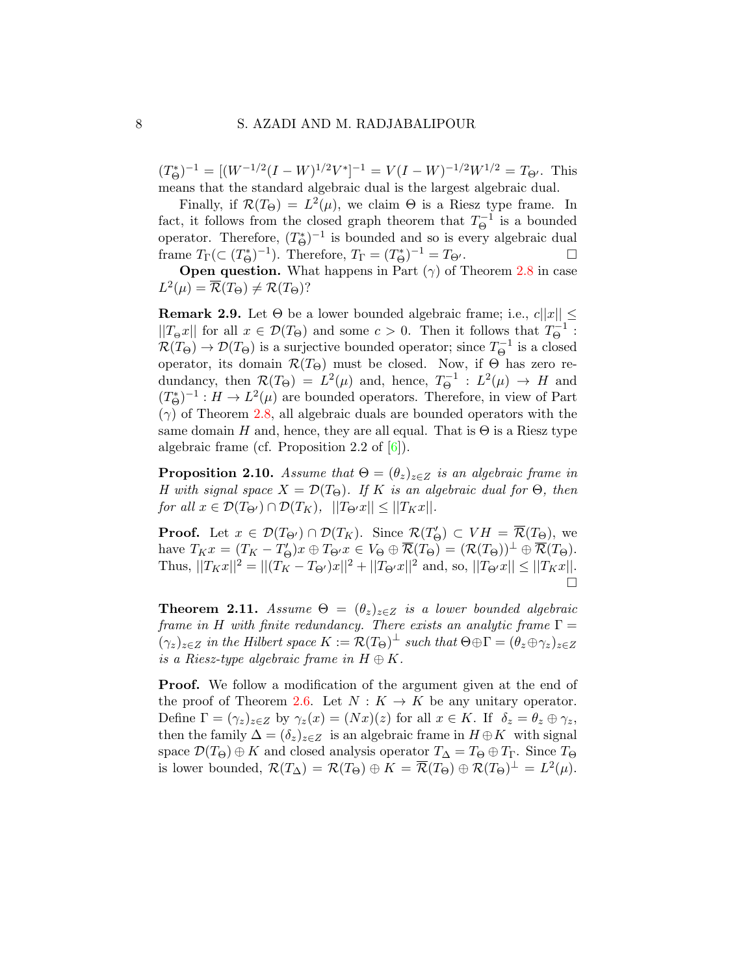$(T_{\Theta}^*)^{-1} = [(W^{-1/2}(I-W)^{1/2}V^*]^{-1} = V(I-W)^{-1/2}W^{1/2} = T_{\Theta'}$ . This means that the standard algebraic dual is the largest algebraic dual.

Finally, if  $\mathcal{R}(T_{\Theta}) = L^2(\mu)$ , we claim  $\Theta$  is a Riesz type frame. In fact, it follows from the closed graph theorem that  $T_{\Theta}^{-1}$  $\overline{\Theta}^{1}$  is a bounded operator. Therefore,  $(T^*_{\Theta})^{-1}$  is bounded and so is every algebraic dual frame  $T_{\Gamma}(\subset (T^*_{\Theta})^{-1})$ . Therefore,  $T_{\Gamma} = (T^*_{\Theta})^{-1} = T_{\Theta'}$ .

**Open question.** What happens in Part  $(\gamma)$  of Theorem [2.8](#page-5-1) in case  $L^2(\mu) = \overline{\mathcal{R}}(T_{\Theta}) \neq \mathcal{R}(T_{\Theta})$ ?

**Remark 2.9.** Let  $\Theta$  be a lower bounded algebraic frame; i.e.,  $c||x|| \leq$  $||T_{\Theta} x||$  for all  $x \in \mathcal{D}(T_{\Theta})$  and some  $c > 0$ . Then it follows that  $T_{\Theta}^{-1}$  $\stackrel{\cdot -1}{\Theta}$  :  $\mathcal{R}(T_{\Theta}) \to \mathcal{D}(T_{\Theta})$  is a surjective bounded operator; since  $T_{\Theta}^{-1}$  $\overline{\Theta}^{-1}$  is a closed operator, its domain  $\mathcal{R}(T_{\Theta})$  must be closed. Now, if  $\Theta$  has zero redundancy, then  $\mathcal{R}(T_{\Theta}) = L^2(\mu)$  and, hence,  $T_{\Theta}^{-1}$  $\theta^{-1}$  :  $L^2(\mu) \rightarrow H$  and  $(T_{\Theta}^*)^{-1}: H \to L^2(\mu)$  are bounded operators. Therefore, in view of Part  $(\gamma)$  of Theorem [2.8,](#page-5-1) all algebraic duals are bounded operators with the same domain H and, hence, they are all equal. That is  $\Theta$  is a Riesz type algebraic frame (cf. Proposition 2.2 of  $[6]$ ).

**Proposition 2.10.** Assume that  $\Theta = (\theta_z)_{z \in Z}$  is an algebraic frame in H with signal space  $X = \mathcal{D}(T_{\Theta})$ . If K is an algebraic dual for  $\Theta$ , then for all  $x \in \mathcal{D}(T_{\Theta}) \cap \mathcal{D}(T_K)$ ,  $||T_{\Theta'}x|| \leq ||T_Kx||$ .

**Proof.** Let  $x \in \mathcal{D}(T_{\Theta}) \cap \mathcal{D}(T_K)$ . Since  $\mathcal{R}(T'_{\Theta}) \subset VH = \overline{\mathcal{R}}(T_{\Theta})$ , we have  $T_K x = (T_K - T'_\Theta)x \oplus T_{\Theta'} x \in V_\Theta \oplus \overline{\mathcal{R}}(T_\Theta) = (\mathcal{R}(T_\Theta))^{\perp} \oplus \overline{\mathcal{R}}(T_\Theta).$ Thus,  $||T_Kx||^2 = ||(T_K - T_{\Theta'})x||^2 + ||T_{\Theta'}x||^2$  and, so,  $||T_{\Theta'}x|| \le ||T_Kx||$ . Ò

**Theorem 2.11.** Assume  $\Theta = (\theta_z)_{z \in Z}$  is a lower bounded algebraic frame in H with finite redundancy. There exists an analytic frame  $\Gamma =$  $(\gamma_z)_{z\in\mathbb{Z}}$  in the Hilbert space  $K:=\mathcal{R}(T_{\Theta})^{\perp}$  such that  $\Theta\oplus\Gamma=(\theta_z\oplus\gamma_z)_{z\in\mathbb{Z}}$ is a Riesz-type algebraic frame in  $H \oplus K$ .

**Proof.** We follow a modification of the argument given at the end of the proof of Theorem [2.6.](#page-5-0) Let  $N: K \to K$  be any unitary operator. Define  $\Gamma = (\gamma_z)_{z \in Z}$  by  $\gamma_z(x) = (Nx)(z)$  for all  $x \in K$ . If  $\delta_z = \theta_z \oplus \gamma_z$ , then the family  $\Delta = (\delta_z)_{z \in Z}$  is an algebraic frame in  $H \oplus K$  with signal space  $\mathcal{D}(T_{\Theta}) \oplus K$  and closed analysis operator  $T_{\Delta} = T_{\Theta} \oplus T_{\Gamma}$ . Since  $T_{\Theta}$ is lower bounded,  $\mathcal{R}(T_{\Delta}) = \mathcal{R}(T_{\Theta}) \oplus K = \overline{\mathcal{R}}(T_{\Theta}) \oplus \mathcal{R}(T_{\Theta})^{\perp} = L^2(\mu).$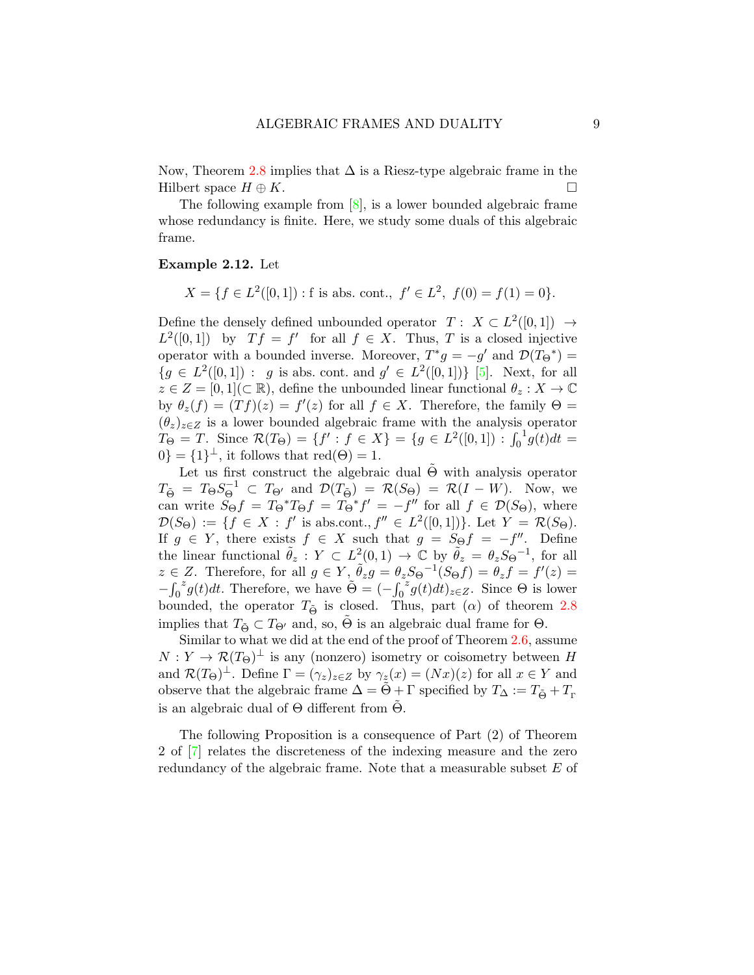Now, Theorem [2.8](#page-5-1) implies that  $\Delta$  is a Riesz-type algebraic frame in the Hilbert space  $H \oplus K$ .

The following example from [\[8\]](#page-9-1), is a lower bounded algebraic frame whose redundancy is finite. Here, we study some duals of this algebraic frame.

#### Example 2.12. Let

$$
X = \{ f \in L^2([0,1]) : f \text{ is abs. cont.}, f' \in L^2, f(0) = f(1) = 0 \}.
$$

Define the densely defined unbounded operator  $T: X \subset L^2([0,1]) \to$  $L^2([0,1])$  by  $Tf = f'$  for all  $f \in X$ . Thus, T is a closed injective operator with a bounded inverse. Moreover,  $T^*g = -g'$  and  $\mathcal{D}(T_{\Theta}^*) =$  ${g \in L^2([0,1]) : g \text{ is abs. cont. and } g' \in L^2([0,1]) }$  [\[5\]](#page-9-6). Next, for all  $z \in Z = [0, 1] \subset \mathbb{R}$ , define the unbounded linear functional  $\theta_z : X \to \mathbb{C}$ by  $\theta_z(f) = (Tf)(z) = f'(z)$  for all  $f \in X$ . Therefore, the family  $\Theta =$  $(\theta_z)_{z\in\mathbb{Z}}$  is a lower bounded algebraic frame with the analysis operator  $T_{\Theta} = T$ . Since  $\mathcal{R}(T_{\Theta}) = \{f' : f \in X\} = \{g \in L^2([0,1]) : \int_0^{\Theta} f(g) \, dg\}$  $ig(t)dt =$  $0\} = \{1\}^{\perp}$ , it follows that  $\text{red}(\Theta) = 1$ .

Let us first construct the algebraic dual  $\Theta$  with analysis operator  $T_{\tilde{\Theta}} = T_{\Theta} S_{\Theta}^{-1} \subset T_{\Theta'}$  and  $\mathcal{D}(T_{\tilde{\Theta}}) = \mathcal{R}(S_{\Theta}) = \mathcal{R}(I - W)$ . Now, we can write  $\tilde{S}_{\Theta}f = T_{\Theta}^*T_{\Theta}f = T_{\Theta}^*f' = -f''$  for all  $f \in \mathcal{D}(S_{\Theta})$ , where  $\mathcal{D}(S_{\Theta}) := \{ f \in X : f' \text{ is abscont.}, f'' \in L^2([0,1]) \}.$  Let  $Y = \mathcal{R}(S_{\Theta})$ . If  $g \in Y$ , there exists  $f \in X$  such that  $g = S_{\Theta} f = -f''$ . Define the linear functional  $\tilde{\theta}_z$ :  $Y \subset L^2(0,1) \to \mathbb{C}$  by  $\tilde{\theta}_z = \theta_z S_{\Theta}^{-1}$ , for all  $z \in Z$ . Therefore, for all  $g \in Y$ ,  $\tilde{\theta}_z g = \theta_z S \Theta^{-1}(S \Theta f) = \theta_z f = f'(z) =$  $-\int_0$  $z^z g(t) dt$ . Therefore, we have  $\tilde{\Theta} = (-\int_0^{\infty}$  $^{z}g(t)dt)_{z\in Z}$ . Since  $\Theta$  is lower bounded, the operator  $T_{\tilde{\Theta}}$  is closed. Thus, part ( $\alpha$ ) of theorem [2.8](#page-5-1) implies that  $T_{\tilde{\Theta}} \subset T_{\Theta'}$  and, so,  $\tilde{\Theta}$  is an algebraic dual frame for  $\Theta$ .

Similar to what we did at the end of the proof of Theorem [2.6,](#page-5-0) assume  $N: Y \to \mathcal{R}(T_{\Theta})^{\perp}$  is any (nonzero) isometry or coisometry between H and  $\mathcal{R}(T_{\Theta})^{\perp}$ . Define  $\Gamma = (\gamma_z)_{z \in Z}$  by  $\gamma_z(x) = (Nx)(z)$  for all  $x \in Y$  and observe that the algebraic frame  $\Delta = \tilde{\Theta} + \Gamma$  specified by  $T_{\Delta} := T_{\tilde{\Theta}} + T_{\Gamma}$ is an algebraic dual of  $\Theta$  different from  $\Theta$ .

The following Proposition is a consequence of Part (2) of Theorem 2 of [\[7\]](#page-9-0) relates the discreteness of the indexing measure and the zero redundancy of the algebraic frame. Note that a measurable subset E of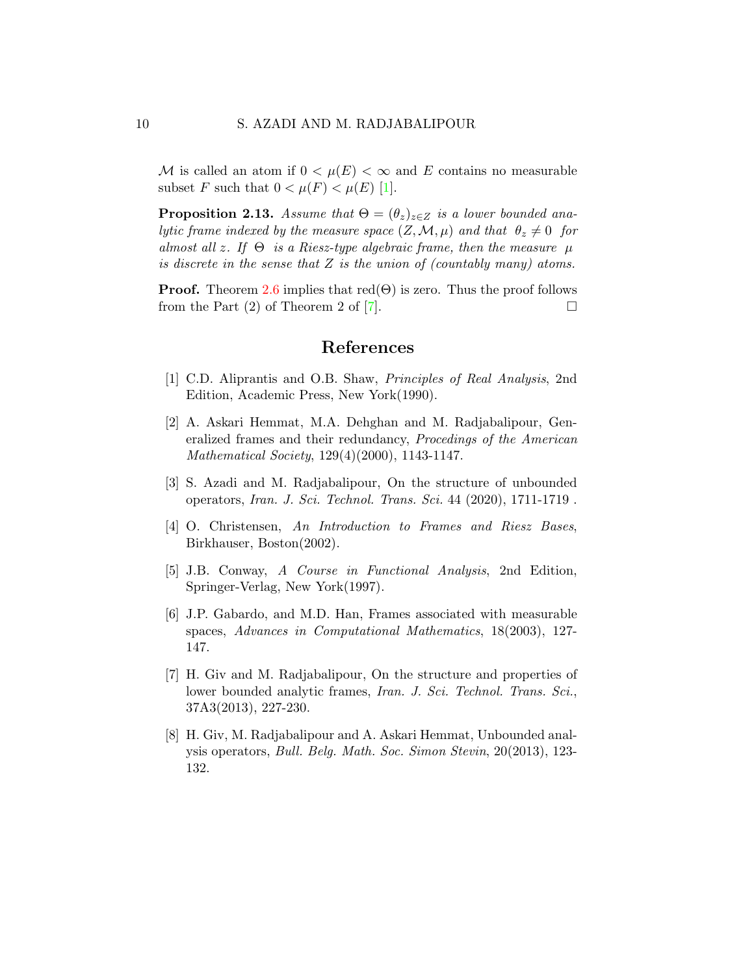M is called an atom if  $0 < \mu(E) < \infty$  and E contains no measurable subset F such that  $0 < \mu(F) < \mu(E)$  [\[1\]](#page-9-7).

**Proposition 2.13.** Assume that  $\Theta = (\theta_z)_{z \in Z}$  is a lower bounded analytic frame indexed by the measure space  $(Z, \mathcal{M}, \mu)$  and that  $\theta_z \neq 0$  for almost all z. If  $\Theta$  is a Riesz-type algebraic frame, then the measure  $\mu$ is discrete in the sense that  $Z$  is the union of (countably many) atoms.

**Proof.** Theorem [2.6](#page-5-0) implies that  $red(\Theta)$  is zero. Thus the proof follows from the Part  $(2)$  of Theorem 2 of  $\lceil 7 \rceil$ .

### References

- <span id="page-9-7"></span>[1] C.D. Aliprantis and O.B. Shaw, Principles of Real Analysis, 2nd Edition, Academic Press, New York(1990).
- <span id="page-9-2"></span>[2] A. Askari Hemmat, M.A. Dehghan and M. Radjabalipour, Generalized frames and their redundancy, Procedings of the American Mathematical Society, 129(4)(2000), 1143-1147.
- <span id="page-9-5"></span>[3] S. Azadi and M. Radjabalipour, On the structure of unbounded operators, Iran. J. Sci. Technol. Trans. Sci. 44 (2020), 1711-1719 .
- <span id="page-9-3"></span>[4] O. Christensen, An Introduction to Frames and Riesz Bases, Birkhauser, Boston(2002).
- <span id="page-9-6"></span>[5] J.B. Conway, A Course in Functional Analysis, 2nd Edition, Springer-Verlag, New York(1997).
- <span id="page-9-4"></span>[6] J.P. Gabardo, and M.D. Han, Frames associated with measurable spaces, Advances in Computational Mathematics, 18(2003), 127- 147.
- <span id="page-9-0"></span>[7] H. Giv and M. Radjabalipour, On the structure and properties of lower bounded analytic frames, Iran. J. Sci. Technol. Trans. Sci., 37A3(2013), 227-230.
- <span id="page-9-1"></span>[8] H. Giv, M. Radjabalipour and A. Askari Hemmat, Unbounded analysis operators, Bull. Belg. Math. Soc. Simon Stevin, 20(2013), 123- 132.